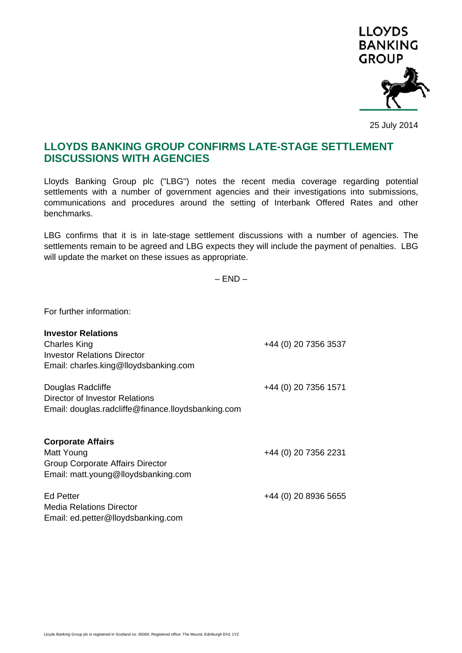

25 July 2014

## **LLOYDS BANKING GROUP CONFIRMS LATE-STAGE SETTLEMENT DISCUSSIONS WITH AGENCIES**

Lloyds Banking Group plc ("LBG") notes the recent media coverage regarding potential settlements with a number of government agencies and their investigations into submissions, communications and procedures around the setting of Interbank Offered Rates and other benchmarks.

LBG confirms that it is in late-stage settlement discussions with a number of agencies. The settlements remain to be agreed and LBG expects they will include the payment of penalties. LBG will update the market on these issues as appropriate.

 $-$  FND  $-$ 

For further information:

| <b>Investor Relations</b><br><b>Charles King</b><br><b>Investor Relations Director</b><br>Email: charles.king@lloydsbanking.com | +44 (0) 20 7356 3537 |
|---------------------------------------------------------------------------------------------------------------------------------|----------------------|
| Douglas Radcliffe<br>Director of Investor Relations<br>Email: douglas.radcliffe@finance.lloydsbanking.com                       | +44 (0) 20 7356 1571 |
| <b>Corporate Affairs</b><br>Matt Young<br>Group Corporate Affairs Director<br>Email: matt.young@lloydsbanking.com               | +44 (0) 20 7356 2231 |
| Ed Petter<br>Media Relations Director<br>Email: ed.petter@lloydsbanking.com                                                     | +44 (0) 20 8936 5655 |